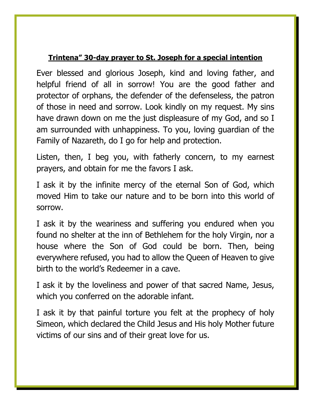## **Trintena" 30-day prayer to St. Joseph for a special intention**

Ever blessed and glorious Joseph, kind and loving father, and helpful friend of all in sorrow! You are the good father and protector of orphans, the defender of the defenseless, the patron of those in need and sorrow. Look kindly on my request. My sins have drawn down on me the just displeasure of my God, and so I am surrounded with unhappiness. To you, loving guardian of the Family of Nazareth, do I go for help and protection.

Listen, then, I beg you, with fatherly concern, to my earnest prayers, and obtain for me the favors I ask.

I ask it by the infinite mercy of the eternal Son of God, which moved Him to take our nature and to be born into this world of sorrow.

I ask it by the weariness and suffering you endured when you found no shelter at the inn of Bethlehem for the holy Virgin, nor a house where the Son of God could be born. Then, being everywhere refused, you had to allow the Queen of Heaven to give birth to the world's Redeemer in a cave.

I ask it by the loveliness and power of that sacred Name, Jesus, which you conferred on the adorable infant.

I ask it by that painful torture you felt at the prophecy of holy Simeon, which declared the Child Jesus and His holy Mother future victims of our sins and of their great love for us.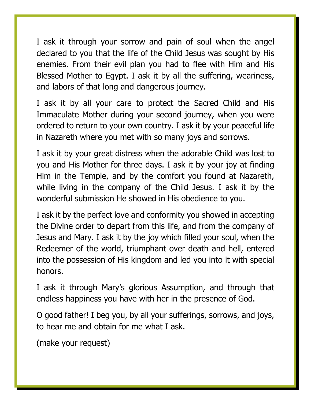I ask it through your sorrow and pain of soul when the angel declared to you that the life of the Child Jesus was sought by His enemies. From their evil plan you had to flee with Him and His Blessed Mother to Egypt. I ask it by all the suffering, weariness, and labors of that long and dangerous journey.

I ask it by all your care to protect the Sacred Child and His Immaculate Mother during your second journey, when you were ordered to return to your own country. I ask it by your peaceful life in Nazareth where you met with so many joys and sorrows.

I ask it by your great distress when the adorable Child was lost to you and His Mother for three days. I ask it by your joy at finding Him in the Temple, and by the comfort you found at Nazareth, while living in the company of the Child Jesus. I ask it by the wonderful submission He showed in His obedience to you.

I ask it by the perfect love and conformity you showed in accepting the Divine order to depart from this life, and from the company of Jesus and Mary. I ask it by the joy which filled your soul, when the Redeemer of the world, triumphant over death and hell, entered into the possession of His kingdom and led you into it with special honors.

I ask it through Mary's glorious Assumption, and through that endless happiness you have with her in the presence of God.

O good father! I beg you, by all your sufferings, sorrows, and joys, to hear me and obtain for me what I ask.

(make your request)